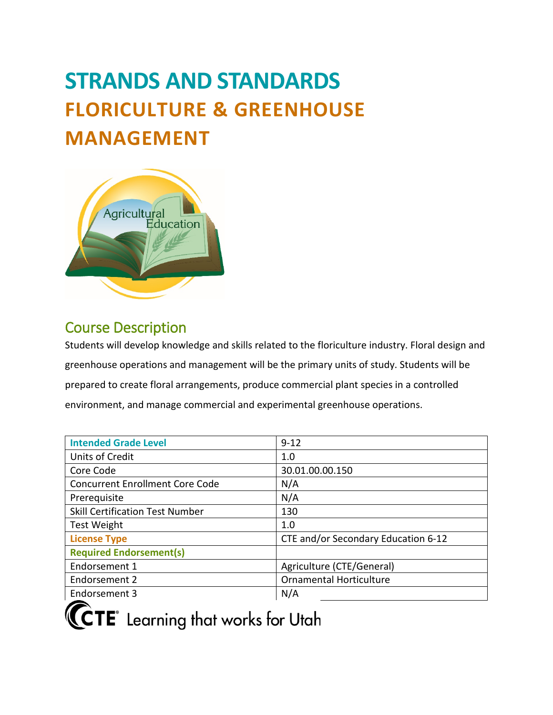# **STRANDS AND STANDARDS FLORICULTURE & GREENHOUSE MANAGEMENT**



# Course Description

Students will develop knowledge and skills related to the floriculture industry. Floral design and greenhouse operations and management will be the primary units of study. Students will be prepared to create floral arrangements, produce commercial plant species in a controlled environment, and manage commercial and experimental greenhouse operations.

| <b>Intended Grade Level</b>            | $9 - 12$                            |
|----------------------------------------|-------------------------------------|
| <b>Units of Credit</b>                 | 1.0                                 |
| Core Code                              | 30.01.00.00.150                     |
| <b>Concurrent Enrollment Core Code</b> | N/A                                 |
| Prerequisite                           | N/A                                 |
| <b>Skill Certification Test Number</b> | 130                                 |
| <b>Test Weight</b>                     | 1.0                                 |
| <b>License Type</b>                    | CTE and/or Secondary Education 6-12 |
| <b>Required Endorsement(s)</b>         |                                     |
| Endorsement 1                          | Agriculture (CTE/General)           |
| Endorsement 2                          | <b>Ornamental Horticulture</b>      |
| Endorsement 3                          | N/A                                 |



**CCTE** Learning that works for Utah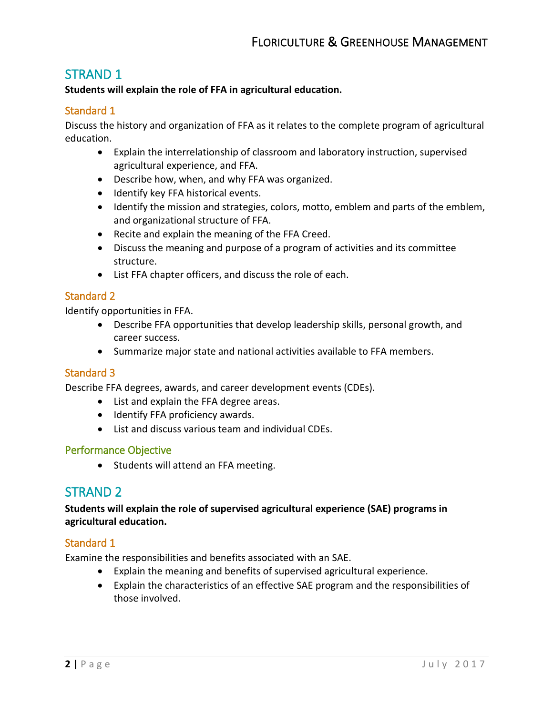# STRAND 1

#### **Students will explain the role of FFA in agricultural education.**

#### Standard 1

Discuss the history and organization of FFA as it relates to the complete program of agricultural education.

- Explain the interrelationship of classroom and laboratory instruction, supervised agricultural experience, and FFA.
- Describe how, when, and why FFA was organized.
- Identify key FFA historical events.
- Identify the mission and strategies, colors, motto, emblem and parts of the emblem, and organizational structure of FFA.
- Recite and explain the meaning of the FFA Creed.
- Discuss the meaning and purpose of a program of activities and its committee structure.
- List FFA chapter officers, and discuss the role of each.

## Standard 2

Identify opportunities in FFA.

- Describe FFA opportunities that develop leadership skills, personal growth, and career success.
- Summarize major state and national activities available to FFA members.

#### Standard 3

Describe FFA degrees, awards, and career development events (CDEs).

- List and explain the FFA degree areas.
- Identify FFA proficiency awards.
- List and discuss various team and individual CDEs.

#### Performance Objective

• Students will attend an FFA meeting.

# STRAND 2

**Students will explain the role of supervised agricultural experience (SAE) programs in agricultural education.**

#### Standard 1

Examine the responsibilities and benefits associated with an SAE.

- Explain the meaning and benefits of supervised agricultural experience.
- Explain the characteristics of an effective SAE program and the responsibilities of those involved.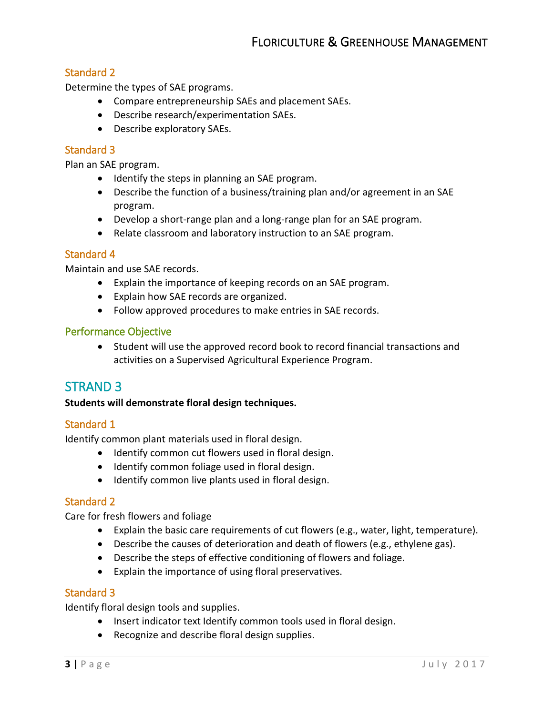Determine the types of SAE programs.

- Compare entrepreneurship SAEs and placement SAEs.
- Describe research/experimentation SAEs.
- Describe exploratory SAEs.

#### Standard 3

Plan an SAE program.

- Identify the steps in planning an SAE program.
- Describe the function of a business/training plan and/or agreement in an SAE program.
- Develop a short-range plan and a long-range plan for an SAE program.
- Relate classroom and laboratory instruction to an SAE program.

#### Standard 4

Maintain and use SAE records.

- Explain the importance of keeping records on an SAE program.
- Explain how SAE records are organized.
- Follow approved procedures to make entries in SAE records.

#### Performance Objective

• Student will use the approved record book to record financial transactions and activities on a Supervised Agricultural Experience Program.

# STRAND 3

#### **Students will demonstrate floral design techniques.**

#### Standard 1

Identify common plant materials used in floral design.

- Identify common cut flowers used in floral design.
- Identify common foliage used in floral design.
- Identify common live plants used in floral design.

#### Standard 2

Care for fresh flowers and foliage

- Explain the basic care requirements of cut flowers (e.g., water, light, temperature).
- Describe the causes of deterioration and death of flowers (e.g., ethylene gas).
- Describe the steps of effective conditioning of flowers and foliage.
- Explain the importance of using floral preservatives.

#### Standard 3

Identify floral design tools and supplies.

- Insert indicator text Identify common tools used in floral design.
- Recognize and describe floral design supplies.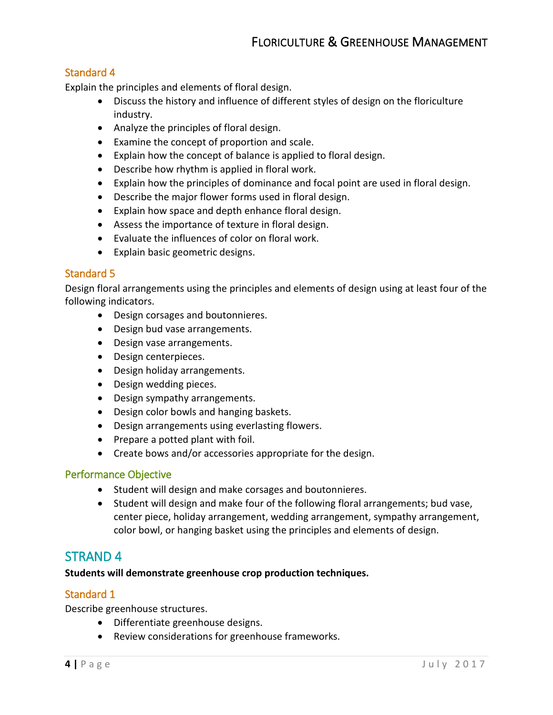Explain the principles and elements of floral design.

- Discuss the history and influence of different styles of design on the floriculture industry.
- Analyze the principles of floral design.
- Examine the concept of proportion and scale.
- Explain how the concept of balance is applied to floral design.
- Describe how rhythm is applied in floral work.
- Explain how the principles of dominance and focal point are used in floral design.
- Describe the major flower forms used in floral design.
- Explain how space and depth enhance floral design.
- Assess the importance of texture in floral design.
- Evaluate the influences of color on floral work.
- Explain basic geometric designs.

# Standard 5

Design floral arrangements using the principles and elements of design using at least four of the following indicators.

- Design corsages and boutonnieres.
- Design bud vase arrangements.
- Design vase arrangements.
- Design centerpieces.
- Design holiday arrangements.
- Design wedding pieces.
- Design sympathy arrangements.
- Design color bowls and hanging baskets.
- Design arrangements using everlasting flowers.
- Prepare a potted plant with foil.
- Create bows and/or accessories appropriate for the design.

# Performance Objective

- Student will design and make corsages and boutonnieres.
- Student will design and make four of the following floral arrangements; bud vase, center piece, holiday arrangement, wedding arrangement, sympathy arrangement, color bowl, or hanging basket using the principles and elements of design.

# STRAND 4

#### **Students will demonstrate greenhouse crop production techniques.**

# Standard 1

Describe greenhouse structures.

- Differentiate greenhouse designs.
- Review considerations for greenhouse frameworks.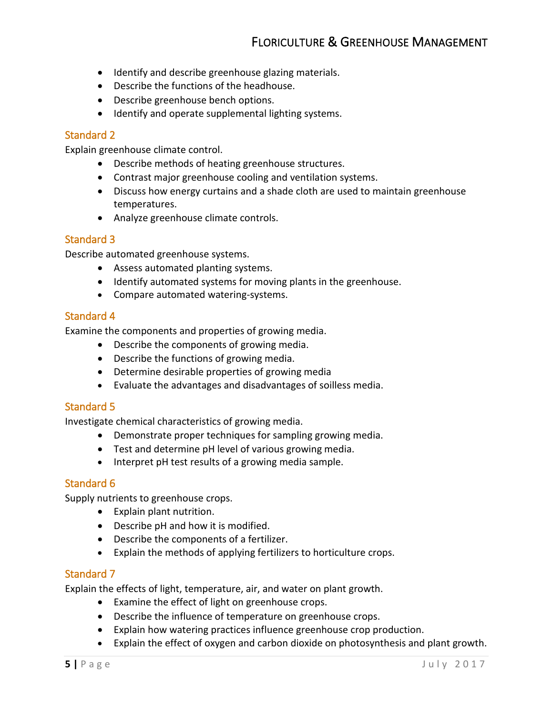- Identify and describe greenhouse glazing materials.
- Describe the functions of the headhouse.
- Describe greenhouse bench options.
- Identify and operate supplemental lighting systems.

Explain greenhouse climate control.

- Describe methods of heating greenhouse structures.
- Contrast major greenhouse cooling and ventilation systems.
- Discuss how energy curtains and a shade cloth are used to maintain greenhouse temperatures.
- Analyze greenhouse climate controls.

#### Standard 3

Describe automated greenhouse systems.

- Assess automated planting systems.
- Identify automated systems for moving plants in the greenhouse.
- Compare automated watering-systems.

#### Standard 4

Examine the components and properties of growing media.

- Describe the components of growing media.
- Describe the functions of growing media.
- Determine desirable properties of growing media
- Evaluate the advantages and disadvantages of soilless media.

#### Standard 5

Investigate chemical characteristics of growing media.

- Demonstrate proper techniques for sampling growing media.
- Test and determine pH level of various growing media.
- Interpret pH test results of a growing media sample.

#### Standard 6

Supply nutrients to greenhouse crops.

- Explain plant nutrition.
- Describe pH and how it is modified.
- Describe the components of a fertilizer.
- Explain the methods of applying fertilizers to horticulture crops.

#### Standard 7

Explain the effects of light, temperature, air, and water on plant growth.

- Examine the effect of light on greenhouse crops.
- Describe the influence of temperature on greenhouse crops.
- Explain how watering practices influence greenhouse crop production.
- Explain the effect of oxygen and carbon dioxide on photosynthesis and plant growth.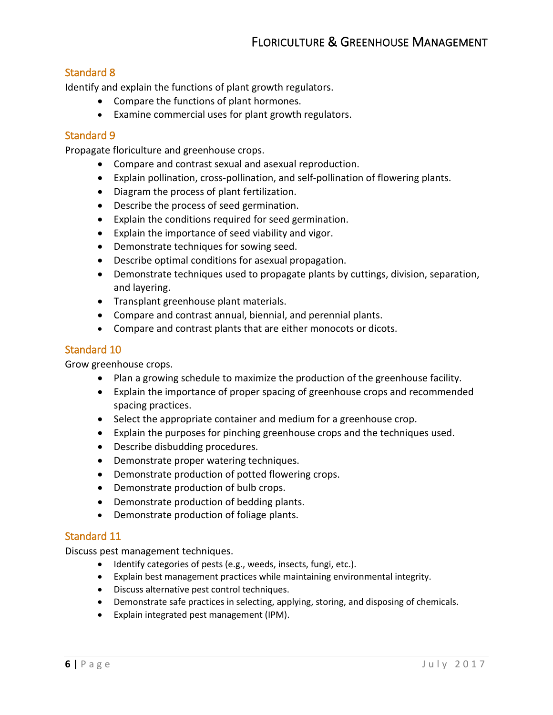Identify and explain the functions of plant growth regulators.

- Compare the functions of plant hormones.
- Examine commercial uses for plant growth regulators.

## Standard 9

Propagate floriculture and greenhouse crops.

- Compare and contrast sexual and asexual reproduction.
- Explain pollination, cross-pollination, and self-pollination of flowering plants.
- Diagram the process of plant fertilization.
- Describe the process of seed germination.
- Explain the conditions required for seed germination.
- Explain the importance of seed viability and vigor.
- Demonstrate techniques for sowing seed.
- Describe optimal conditions for asexual propagation.
- Demonstrate techniques used to propagate plants by cuttings, division, separation, and layering.
- Transplant greenhouse plant materials.
- Compare and contrast annual, biennial, and perennial plants.
- Compare and contrast plants that are either monocots or dicots.

#### Standard 10

Grow greenhouse crops.

- Plan a growing schedule to maximize the production of the greenhouse facility.
- Explain the importance of proper spacing of greenhouse crops and recommended spacing practices.
- Select the appropriate container and medium for a greenhouse crop.
- Explain the purposes for pinching greenhouse crops and the techniques used.
- Describe disbudding procedures.
- Demonstrate proper watering techniques.
- Demonstrate production of potted flowering crops.
- Demonstrate production of bulb crops.
- Demonstrate production of bedding plants.
- Demonstrate production of foliage plants.

#### Standard 11

Discuss pest management techniques.

- Identify categories of pests (e.g., weeds, insects, fungi, etc.).
- Explain best management practices while maintaining environmental integrity.
- Discuss alternative pest control techniques.
- Demonstrate safe practices in selecting, applying, storing, and disposing of chemicals.
- Explain integrated pest management (IPM).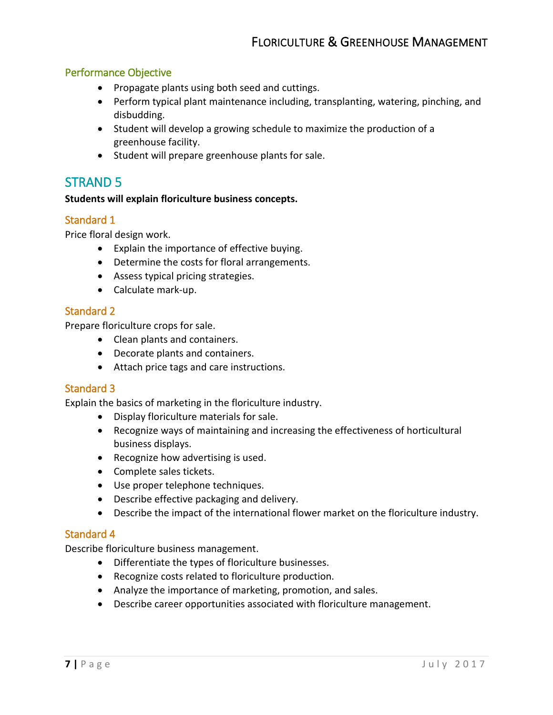## Performance Objective

- Propagate plants using both seed and cuttings.
- Perform typical plant maintenance including, transplanting, watering, pinching, and disbudding.
- Student will develop a growing schedule to maximize the production of a greenhouse facility.
- Student will prepare greenhouse plants for sale.

# STRAND 5

#### **Students will explain floriculture business concepts.**

# Standard 1

Price floral design work.

- Explain the importance of effective buying.
- Determine the costs for floral arrangements.
- Assess typical pricing strategies.
- Calculate mark-up.

## Standard 2

Prepare floriculture crops for sale.

- Clean plants and containers.
- Decorate plants and containers.
- Attach price tags and care instructions.

## Standard 3

Explain the basics of marketing in the floriculture industry.

- Display floriculture materials for sale.
- Recognize ways of maintaining and increasing the effectiveness of horticultural business displays.
- Recognize how advertising is used.
- Complete sales tickets.
- Use proper telephone techniques.
- Describe effective packaging and delivery.
- Describe the impact of the international flower market on the floriculture industry.

#### Standard 4

Describe floriculture business management.

- Differentiate the types of floriculture businesses.
- Recognize costs related to floriculture production.
- Analyze the importance of marketing, promotion, and sales.
- Describe career opportunities associated with floriculture management.